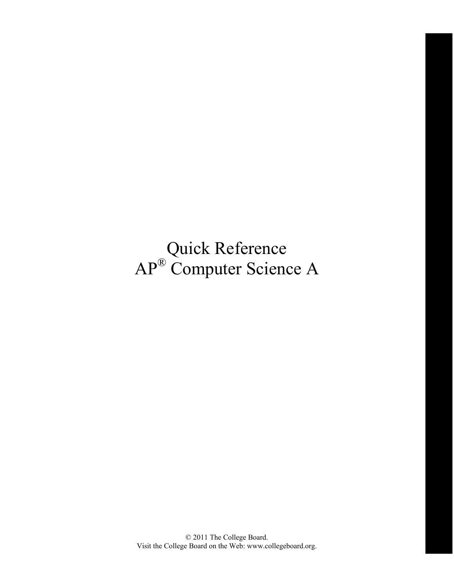Quick Reference AP® Computer Science A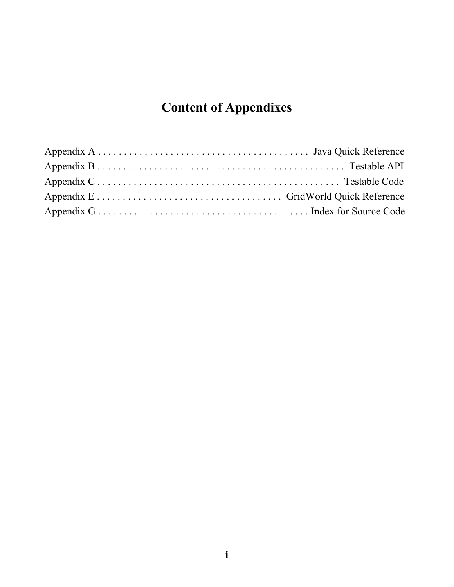# **Content of Appendixes**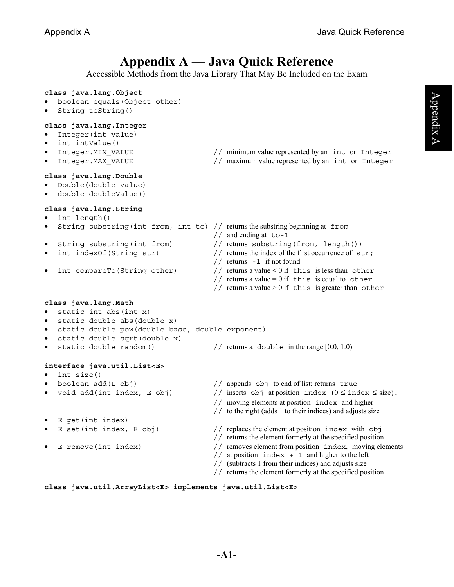# **Appendix A — Java Quick Reference**

Accessible Methods from the Java Library That May Be Included on the Exam

### **class java.lang.Object**

- boolean equals(Object other)
- String toString()

### **class java.lang.Integer**

- Integer(int value)
- int intValue()
- 
- 

### **class java.lang.Double**

- Double(double value)
- double doubleValue()

### **class java.lang.String**

- int length()
- String substring(int from, int to) // returns the substring beginning at from
- 
- 
- 
- Integer.MIN VALUE // minimum value represented by an int or Integer
- Integer. MAX VALUE // maximum value represented by an int or Integer
	-
	- // and ending at to-1
- String substring(int from) // returns substring(from, length())
- int indexOf(String str)  $//$  returns the index of the first occurrence of str;
	- // returns -1 if not found
	- int compareTo(String other)  $//$  returns a value < 0 if this is less than other
		- // returns a value = 0 if this is equal to other
		- // returns a value  $> 0$  if this is greater than other

### **class java.lang.Math**

- static int abs(int x)
- static double abs(double x)
- static double pow(double base, double exponent)
- static double sqrt(double x)
- static double random()  $//$  returns a double in the range  $[0.0, 1.0)$

### **interface java.util.List<E>**

- int size()
- 
- 
- E get(int index)
- 
- 
- boolean add(E obj)  $\frac{1}{2}$  appends obj to end of list; returns true
- void add(int index, E obj)  $\frac{1}{\sqrt{2}}$  inserts obj at position index  $(0 \leq \text{index} \leq \text{size})$ ,
	- // moving elements at position index and higher
	- // to the right (adds 1 to their indices) and adjusts size
	- $E$  set(int index,  $E$  obj)  $\frac{1}{2}$  replaces the element at position index with obj
		- // returns the element formerly at the specified position
- E remove(int index) // removes element from position index, moving elements
	- $//$  at position index + 1 and higher to the left
	- // (subtracts 1 from their indices) and adjusts size
	- // returns the element formerly at the specified position

### **class java.util.ArrayList<E> implements java.util.List<E>**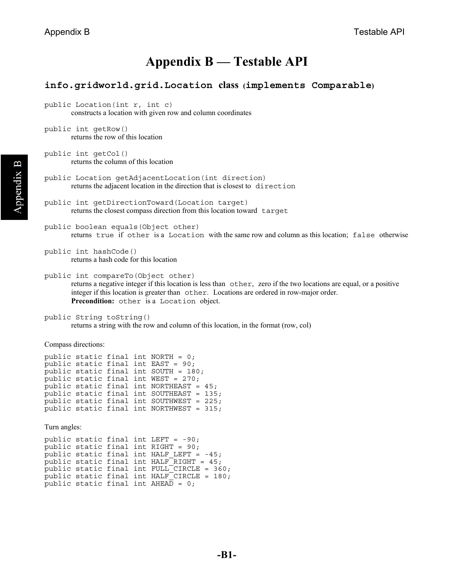## **Appendix B — Testable API**

### **info.gridworld.grid.Location class (implements Comparable)**

```
public Location(int r, int c) 
        constructs a location with given row and column coordinates
```
public int getRow() returns the row of this location

public int getCol() returns the column of this location

public Location getAdjacentLocation(int direction) returns the adjacent location in the direction that is closest to direction

```
public int getDirectionToward(Location target) 
       returns the closest compass direction from this location toward target
```
public boolean equals(Object other) returns true if other is a Location with the same row and column as this location; false otherwise

```
public int hashCode() 
        returns a hash code for this location
```
public int compareTo(Object other) returns a negative integer if this location is less than other, zero if the two locations are equal, or a positive integer if this location is greater than other. Locations are ordered in row-major order. **Precondition:** other is a Location object.

public String toString() returns a string with the row and column of this location, in the format (row, col)

Compass directions:

```
public static final int NORTH = 0; 
public static final int EAST = 90; 
public static final int SOUTH = 180;
public static final int WEST = 270; 
public static final int NORTHEAST = 45; 
public static final int SOUTHEAST = 135; 
public static final int SOUTHWEST = 225; 
public static final int NORTHWEST = 315;
```
Turn angles:

```
public static final int LEFT = -90; 
public static final int RIGHT = 90; 
public static final int HALF_LEFT = -45; 
public static final int HALF RIGHT = 45;
public static final int {\tt FULL\_CIRCLE~=~} 360;
public static final int HALF<sup>-</sup>CIRCLE = 180;
public static final int AHEA\overline{D} = 0;
```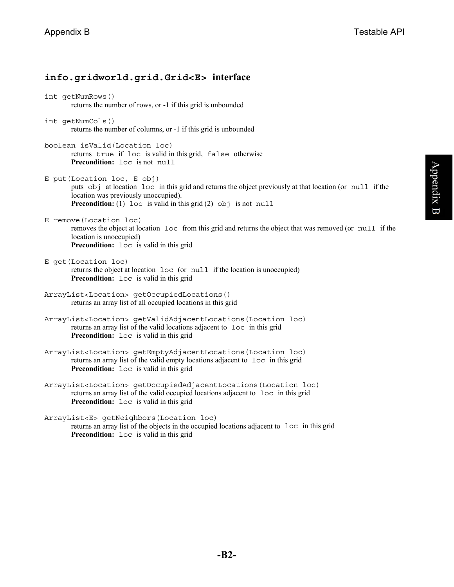## **info.gridworld.grid.Grid<E> interface**

int getNumRows() returns the number of rows, or -1 if this grid is unbounded

- int getNumCols() returns the number of columns, or -1 if this grid is unbounded
- boolean isValid(Location loc) returns true if loc is valid in this grid, false otherwise **Precondition:** loc is not null

E put(Location loc, E obj) puts obj at location loc in this grid and returns the object previously at that location (or null if the location was previously unoccupied). **Precondition:** (1) loc is valid in this grid (2) obj is not null

- E remove(Location loc) removes the object at location loc from this grid and returns the object that was removed (or null if the location is unoccupied) **Precondition:** loc is valid in this grid
- E get(Location loc) returns the object at location loc (or null if the location is unoccupied) **Precondition:** loc is valid in this grid
- ArrayList<Location> getOccupiedLocations() returns an array list of all occupied locations in this grid
- ArrayList<Location> getValidAdjacentLocations(Location loc) returns an array list of the valid locations adjacent to loc in this grid **Precondition:**  $\log$  is valid in this grid
- ArrayList<Location> getEmptyAdjacentLocations(Location loc) returns an array list of the valid empty locations adjacent to loc in this grid **Precondition:** loc is valid in this grid
- ArrayList<Location> getOccupiedAdjacentLocations(Location loc) returns an array list of the valid occupied locations adjacent to loc in this grid **Precondition:**  $loc$  is valid in this grid

ArrayList<E> getNeighbors(Location loc)

returns an array list of the objects in the occupied locations adjacent to loc in this grid **Precondition:** loc is valid in this grid

Appendix B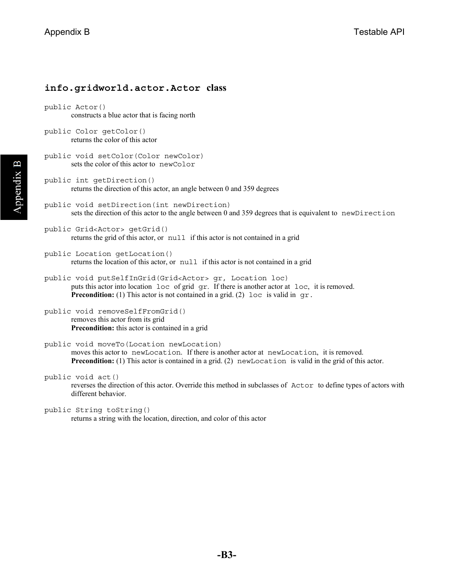## **info.gridworld.actor.Actor class**

```
public Actor() 
        constructs a blue actor that is facing north
```

```
public Color getColor() 
        returns the color of this actor
```

```
public void setColor(Color newColor) 
       sets the color of this actor to newColor
```

```
public int getDirection() 
        returns the direction of this actor, an angle between 0 and 359 degrees
```

```
public void setDirection(int newDirection) 
       sets the direction of this actor to the angle between 0 and 359 degrees that is equivalent to newDirection
```

```
public Grid<Actor> getGrid() 
        returns the grid of this actor, or null if this actor is not contained in a grid
```

```
public Location getLocation() 
        returns the location of this actor, or null if this actor is not contained in a grid
```

```
public void putSelfInGrid(Grid<Actor> gr, Location loc) 
        puts this actor into location loc of grid gr. If there is another actor at loc, it is removed. 
        Precondition: (1) This actor is not contained in a grid. (2) loc is valid in gr.
```

```
public void removeSelfFromGrid() 
        removes this actor from its grid 
        Precondition: this actor is contained in a grid
```

```
public void moveTo(Location newLocation) 
        moves this actor to newLocation. If there is another actor at newLocation, it is removed. 
        Precondition: (1) This actor is contained in a grid. (2) newLocation is valid in the grid of this actor.
```

```
public void act()
```
reverses the direction of this actor. Override this method in subclasses of Actor to define types of actors with different behavior.

```
public String toString()
```
returns a string with the location, direction, and color of this actor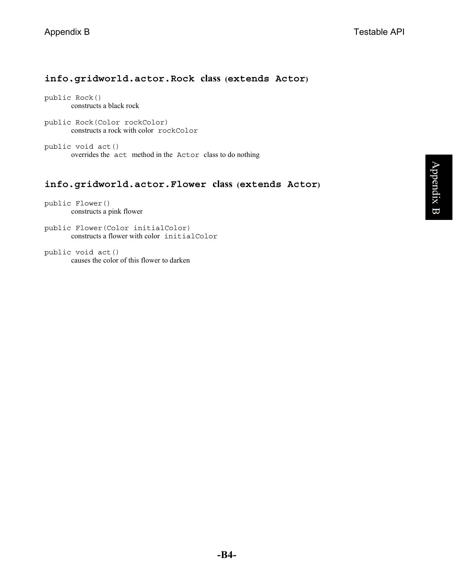## **info.gridworld.actor.Rock class (extends Actor)**

public Rock() constructs a black rock

public Rock(Color rockColor) constructs a rock with color rockColor

public void act() overrides the act method in the Actor class to do nothing

### **info.gridworld.actor.Flower class (extends Actor)**

public Flower() constructs a pink flower

public Flower(Color initialColor) constructs a flower with color initialColor

public void act() causes the color of this flower to darken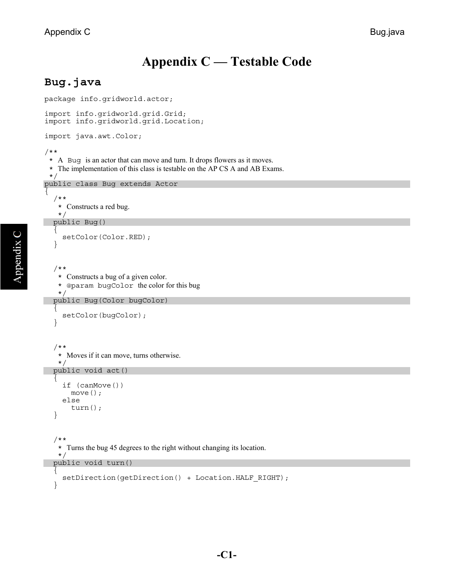# **Appendix C — Testable Code**

## **Bug.java**

```
package info.gridworld.actor; 
import info.gridworld.grid.Grid; 
import info.gridworld.grid.Location; 
import java.awt.Color; 
/** 
  * A Bug is an actor that can move and turn. It drops flowers as it moves. 
  * The implementation of this class is testable on the AP CS A and AB Exams. 
  */ 
public class Bug extends Actor 
{ 
   /** 
    * Constructs a red bug. 
    */
   public Bug() 
\{ setColor(Color.RED); 
   } 
   /** 
    * Constructs a bug of a given color. 
    * @param bugColor the color for this bug 
    */ 
   public Bug(Color bugColor) 
 { 
     setColor(bugColor);
   } 
   /** 
    * Moves if it can move, turns otherwise.
   \star public void act() 
 { 
      if (canMove()) 
        move(); 
      else 
        turn(); 
   } 
   /** 
    * Turns the bug 45 degrees to the right without changing its location. 
    */ 
   public void turn() 
   { 
      setDirection(getDirection() + Location.HALF_RIGHT); 
   }
```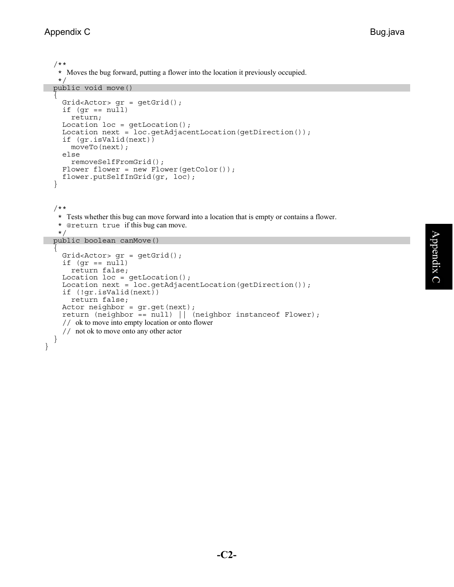} }

```
 /** 
    * Moves the bug forward, putting a flower into the location it previously occupied. 
    */ 
  public void move() 
 { 
    Grid<Actor> gr = getGrid();
    if (gr == null) return; 
    Location loc = getLocation();
    Location next = loc.getAdjacentLocation(getDirection());
     if (gr.isValid(next)) 
       moveTo(next); 
     else 
       removeSelfFromGrid(); 
    Flower flower = new Flower(getColor());
     flower.putSelfInGrid(gr, loc); 
   } 
   /** 
    * Tests whether this bug can move forward into a location that is empty or contains a flower. 
    * @return true if this bug can move. 
    */ 
  public boolean canMove() 
  \left\{ \right.Grid<Actor> gr = getGrid();
    if (gr == null) return false; 
    Location loc = getLocation();
    Location next = loc.getAdjacentLocation(getDirection());
     if (!gr.isValid(next)) 
       return false; 
    Actor neighbor = gr.get(next);
     return (neighbor == null) || (neighbor instanceof Flower); 
     // ok to move into empty location or onto flower
     // not ok to move onto any other actor
```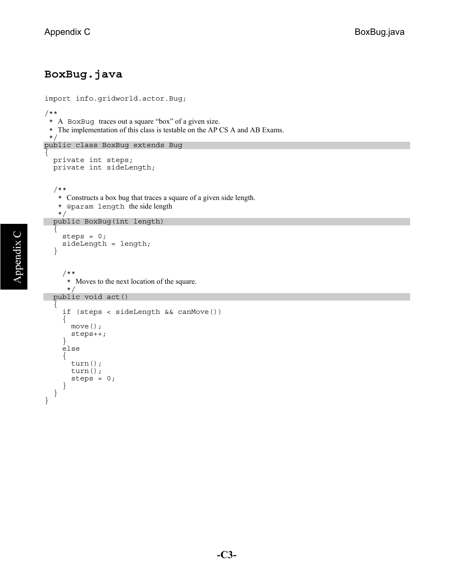## **BoxBug.java**

```
import info.gridworld.actor.Bug; 
/** 
  * A BoxBug traces out a square "box" of a given size. 
  * The implementation of this class is testable on the AP CS A and AB Exams. 
  */ 
public class BoxBug extends Bug 
\{ private int steps; 
  private int sideLength;
   /** 
     * Constructs a box bug that traces a square of a given side length. 
     * @param length the side length 
     */ 
   public BoxBug(int length) 
\{steps = 0; sideLength = length; 
   } 
      /** 
      * Moves to the next location of the square.
 */ 
 public void act() 
 { 
      if (steps < sideLength && canMove()) 
      { 
        move(); 
        steps++; 
      } 
      else 
     \{ turn(); 
        turn(); 
        steps = 0; 
      } 
   } 
}
```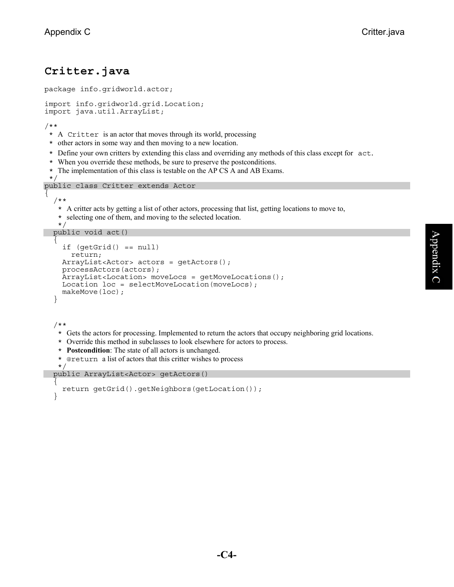}

## **Critter.java**

```
package info.gridworld.actor; 
import info.gridworld.grid.Location; 
import java.util.ArrayList; 
/** 
  * A Critter is an actor that moves through its world, processing 
  * other actors in some way and then moving to a new location. 
  * Define your own critters by extending this class and overriding any methods of this class except for act. * When you override these methods, be sure to preserve the postconditions.
  * The implementation of this class is testable on the AP CS A and AB Exams. 
  */ 
public class Critter extends Actor 
\{ /** 
     * A critter acts by getting a list of other actors, processing that list, getting locations to move to, 
     * selecting one of them, and moving to the selected location. 
     */ 
   public void act() 
   \{ if (getGrid() == null) 
         return; 
      ArrayList<Actor> actors = getActors(); 
      processActors(actors); 
      ArrayList<Location> moveLocs = getMoveLocations(); 
      Location loc = selectMoveLocation(moveLocs); 
      makeMove(loc); 
    } 
    /** 
     * Gets the actors for processing. Implemented to return the actors that occupy neighboring grid locations. 
     * Override this method in subclasses to look elsewhere for actors to process.
     * Postcondition: The state of all actors is unchanged.
     * @return a list of actors that this critter wishes to process
     */ 
   public ArrayList<Actor> getActors() 
 { 
      return getGrid().getNeighbors(getLocation());
```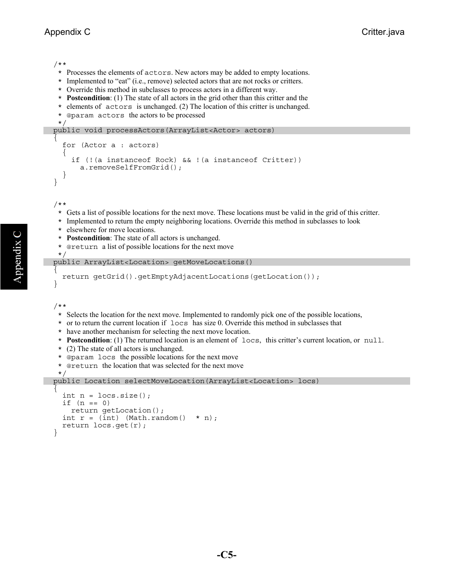/\*\*

- \* Processes the elements of actors. New actors may be added to empty locations.
- \* Implemented to "eat" (i.e., remove) selected actors that are not rocks or critters.
- \* Override this method in subclasses to process actors in a different way.
- \* **Postcondition**: (1) The state of all actors in the grid other than this critter and the
- \* elements of actors is unchanged. (2) The location of this critter is unchanged.
- \* @param actors the actors to be processed

```
 */
```

```
 public void processActors(ArrayList<Actor> actors) 
\{ for (Actor a : actors) 
     { 
       if (!(a instanceof Rock) && !(a instanceof Critter)) 
         a.removeSelfFromGrid(); 
 } 
   }
```
/\*\*

- \* Gets a list of possible locations for the next move. These locations must be valid in the grid of this critter.
- \* Implemented to return the empty neighboring locations. Override this method in subclasses to look
- \* elsewhere for move locations.
- \* **Postcondition**: The state of all actors is unchanged.
- \* @return a list of possible locations for the next move \*/

```
 public ArrayList<Location> getMoveLocations()
```

```
\overline{f} return getGrid().getEmptyAdjacentLocations(getLocation());
```
/\*\*

 $\star$ 

}

Appendix C

- \* Selects the location for the next move. Implemented to randomly pick one of the possible locations,
- \* or to return the current location if  $\log$  has size 0. Override this method in subclasses that
- \* have another mechanism for selecting the next move location.
- \* **Postcondition**: (1) The returned location is an element of locs, this critter's current location, or null.
- \* (2) The state of all actors is unchanged.
- \* @param locs the possible locations for the next move
- \* @return the location that was selected for the next move

```
 public Location selectMoveLocation(ArrayList<Location> locs)
```

```
\overline{f}int n = locs.size();
    if (n == 0) return getLocation(); 
    int r = (int) (Math.random() * n);
     return locs.get(r); 
   }
```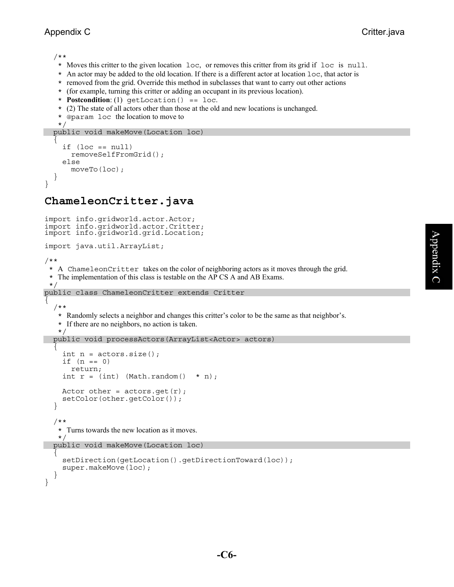/\*\*

- \* Moves this critter to the given location loc, or removes this critter from its grid if loc is null.
- \* An actor may be added to the old location. If there is a different actor at location loc, that actor is
- \* removed from the grid. Override this method in subclasses that want to carry out other actions
- \* (for example, turning this critter or adding an occupant in its previous location).
- \* **Postcondition**: (1) getLocation() == loc.
- \* (2) The state of all actors other than those at the old and new locations is unchanged.
- \* @param loc the location to move to

```
 */ 
 public void makeMove(Location loc)
```

```
\overline{f}if (loc == null) removeSelfFromGrid(); 
     else 
        moveTo(loc); 
 } 
}
```
## **ChameleonCritter.java**

```
import info.gridworld.actor.Actor; 
import info.gridworld.actor.Critter; 
import info.gridworld.grid.Location; 
import java.util.ArrayList; 
/** 
  * A ChameleonCritter takes on the color of neighboring actors as it moves through the grid. 
  * The implementation of this class is testable on the AP CS A and AB Exams. 
  */ 
public class ChameleonCritter extends Critter 
{ 
   /** 
    * Randomly selects a neighbor and changes this critter's color to be the same as that neighbor's. 
    * If there are no neighbors, no action is taken. 
    */ 
   public void processActors(ArrayList<Actor> actors) 
 { 
    int n = \text{actors.size}();
    if (n == 0) return; 
    int r = (int) (Math.random() * n);
    Actor other = actors.get(r);
     setColor(other.getColor()); 
   } 
   /** 
    * Turns towards the new location as it moves. 
    */ 
   public void makeMove(Location loc) 
\{ setDirection(getLocation().getDirectionToward(loc)); 
     super.makeMove(loc); 
 } 
}
```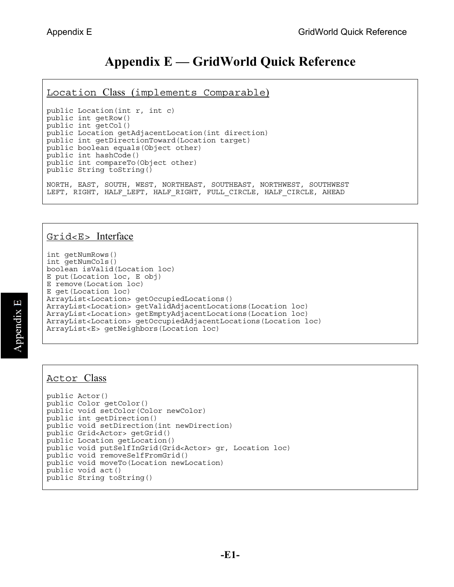# **Appendix E — GridWorld Quick Reference**

Location Class (implements Comparable)

public Location(int r, int c) public int getRow() public int getCol() public Location getAdjacentLocation(int direction) public int getDirectionToward(Location target) public boolean equals(Object other) public int hashCode() public int compareTo(Object other) public String toString() NORTH, EAST, SOUTH, WEST, NORTHEAST, SOUTHEAST, NORTHWEST, SOUTHWEST LEFT, RIGHT, HALF LEFT, HALF RIGHT, FULL CIRCLE, HALF CIRCLE, AHEAD

## Grid<E> Interface

int getNumRows() int getNumCols() boolean isValid(Location loc) E put(Location loc, E obj) E remove(Location loc) E get(Location loc) ArrayList<Location> getOccupiedLocations() ArrayList<Location> getValidAdjacentLocations(Location loc) ArrayList<Location> getEmptyAdjacentLocations(Location loc) ArrayList<Location> getOccupiedAdjacentLocations(Location loc) ArrayList<E> getNeighbors(Location loc)

## Actor Class

```
public Actor() 
public Color getColor() 
public void setColor(Color newColor)
public int getDirection() 
public void setDirection(int newDirection) 
public Grid<Actor> getGrid() 
public Location getLocation()
public void putSelfInGrid(Grid<Actor> gr, Location loc) 
public void removeSelfFromGrid() 
public void moveTo(Location newLocation) 
public void act() 
public String toString()
```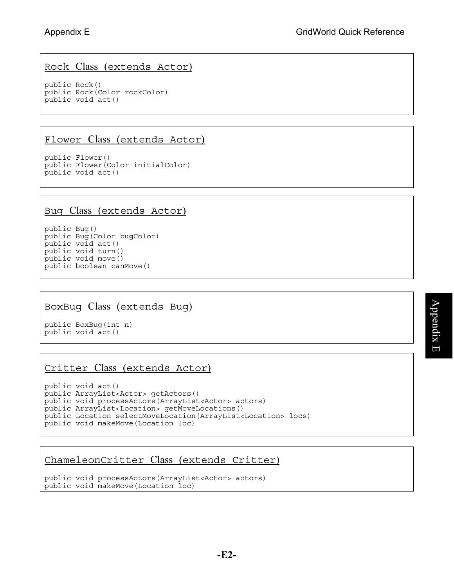## Rock Class (extends Actor)

public Rock() public Rock(Color rockColor) public void act()

## Flower Class (extends Actor)

public Flower() public Flower(Color initialColor) public void act()

### Bug Class (extends Actor)

public Bug() public Bug(Color bugColor) public void act() public void turn() public void move() public boolean canMove()

## BoxBug Class (extends Bug)

public BoxBug(int n) public void act()

## Critter Class (extends Actor)

```
public void act() 
public ArrayList<Actor> getActors() 
public void processActors(ArrayList<Actor> actors) 
public ArrayList<Location> getMoveLocations() 
public Location selectMoveLocation(ArrayList<Location> locs) 
public void makeMove(Location loc)
```
## ChameleonCritter Class (extends Critter)

```
public void processActors(ArrayList<Actor> actors) 
public void makeMove(Location loc)
```